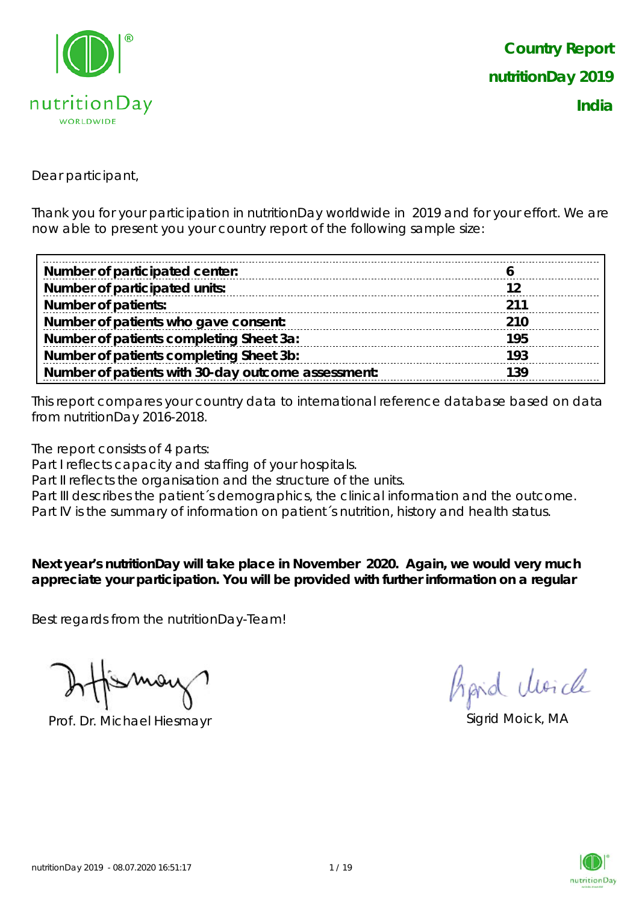

Dear participant,

Thank you for your participation in nutritionDay worldwide in 2019 and for your effort. We are now able to present you your country report of the following sample size:

| Number of participated center:                     |     |
|----------------------------------------------------|-----|
| Number of participated units:                      |     |
| <b>Number of patients:</b>                         | 211 |
| Number of patients who gave consent:               | 210 |
| Number of patients completing Sheet 3a:            | 195 |
| Number of patients completing Sheet 3b:            | 193 |
| Number of patients with 30-day outcome assessment: | 139 |

This report compares your country data to international reference database based on data from nutritionDay 2016-2018.

The report consists of 4 parts:

Part I reflects capacity and staffing of your hospitals.

Part II reflects the organisation and the structure of the units.

Part III describes the patient's demographics, the clinical information and the outcome.

Part IV is the summary of information on patient´s nutrition, history and health status.

**Next year's nutritionDay will take place in November 2020. Again, we would very much appreciate your participation. You will be provided with further information on a regular** 

Best regards from the nutritionDay-Team!

Prof. Dr. Michael Hiesmayr Sigrid Moick, MA

Aprid Moich

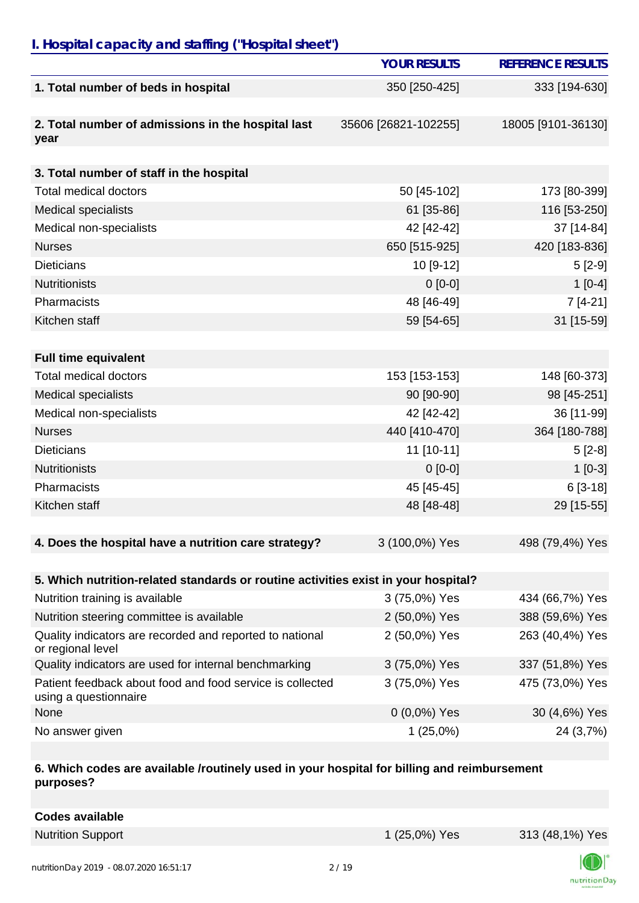## *I. Hospital capacity and staffing ("Hospital sheet")*

|                                                                                    | <b>YOUR RESULTS</b>  | <b>REFERENCE RESULTS</b> |
|------------------------------------------------------------------------------------|----------------------|--------------------------|
| 1. Total number of beds in hospital                                                | 350 [250-425]        | 333 [194-630]            |
|                                                                                    |                      |                          |
| 2. Total number of admissions in the hospital last                                 | 35606 [26821-102255] | 18005 [9101-36130]       |
| year                                                                               |                      |                          |
| 3. Total number of staff in the hospital                                           |                      |                          |
| <b>Total medical doctors</b>                                                       | 50 [45-102]          | 173 [80-399]             |
| <b>Medical specialists</b>                                                         | 61 [35-86]           | 116 [53-250]             |
| Medical non-specialists                                                            | 42 [42-42]           | 37 [14-84]               |
| <b>Nurses</b>                                                                      | 650 [515-925]        | 420 [183-836]            |
| <b>Dieticians</b>                                                                  | 10 [9-12]            | $5[2-9]$                 |
| <b>Nutritionists</b>                                                               | $0[0-0]$             | $1[0-4]$                 |
| Pharmacists                                                                        | 48 [46-49]           | $7[4-21]$                |
| Kitchen staff                                                                      | 59 [54-65]           | 31 [15-59]               |
|                                                                                    |                      |                          |
| <b>Full time equivalent</b>                                                        |                      |                          |
| <b>Total medical doctors</b>                                                       | 153 [153-153]        | 148 [60-373]             |
| <b>Medical specialists</b>                                                         | 90 [90-90]           | 98 [45-251]              |
| Medical non-specialists                                                            | 42 [42-42]           | 36 [11-99]               |
| <b>Nurses</b>                                                                      | 440 [410-470]        | 364 [180-788]            |
| <b>Dieticians</b>                                                                  | 11 [10-11]           | $5[2-8]$                 |
| <b>Nutritionists</b>                                                               | $0[0-0]$             | $1[0-3]$                 |
| Pharmacists                                                                        | 45 [45-45]           | $6[3-18]$                |
| Kitchen staff                                                                      | 48 [48-48]           | 29 [15-55]               |
|                                                                                    |                      |                          |
| 4. Does the hospital have a nutrition care strategy?                               | 3 (100,0%) Yes       | 498 (79,4%) Yes          |
|                                                                                    |                      |                          |
| 5. Which nutrition-related standards or routine activities exist in your hospital? |                      |                          |
| Nutrition training is available                                                    | 3 (75,0%) Yes        | 434 (66,7%) Yes          |
| Nutrition steering committee is available                                          | 2 (50,0%) Yes        | 388 (59,6%) Yes          |
| Quality indicators are recorded and reported to national<br>or regional level      | 2 (50,0%) Yes        | 263 (40,4%) Yes          |
| Quality indicators are used for internal benchmarking                              | 3 (75,0%) Yes        | 337 (51,8%) Yes          |
| Patient feedback about food and food service is collected<br>using a questionnaire | 3 (75,0%) Yes        | 475 (73,0%) Yes          |
| None                                                                               | $0(0,0\%)$ Yes       | 30 (4,6%) Yes            |
| No answer given                                                                    | 1(25,0%)             | 24 (3,7%)                |

#### **6. Which codes are available /routinely used in your hospital for billing and reimbursement purposes?**

| <b>Codes available</b> |
|------------------------|
|------------------------|

Nutrition Support 1 (25,0%) Yes 313 (48,1%) Yes

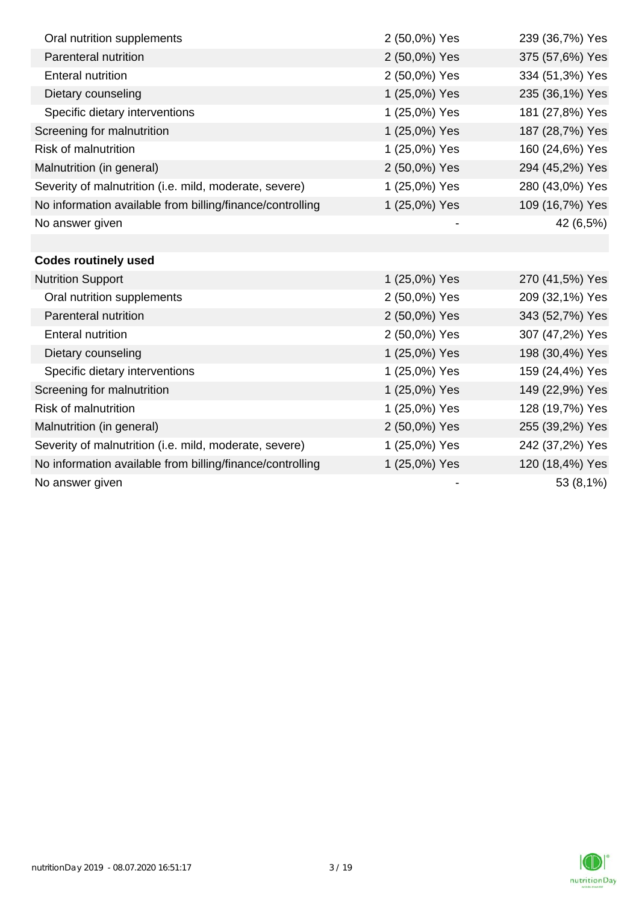| Oral nutrition supplements                                | 2 (50,0%) Yes | 239 (36,7%) Yes |
|-----------------------------------------------------------|---------------|-----------------|
| Parenteral nutrition                                      | 2 (50,0%) Yes | 375 (57,6%) Yes |
| <b>Enteral nutrition</b>                                  | 2 (50,0%) Yes | 334 (51,3%) Yes |
| Dietary counseling                                        | 1 (25,0%) Yes | 235 (36,1%) Yes |
| Specific dietary interventions                            | 1 (25,0%) Yes | 181 (27,8%) Yes |
| Screening for malnutrition                                | 1 (25,0%) Yes | 187 (28,7%) Yes |
| <b>Risk of malnutrition</b>                               | 1 (25,0%) Yes | 160 (24,6%) Yes |
| Malnutrition (in general)                                 | 2 (50,0%) Yes | 294 (45,2%) Yes |
| Severity of malnutrition (i.e. mild, moderate, severe)    | 1 (25,0%) Yes | 280 (43,0%) Yes |
| No information available from billing/finance/controlling | 1 (25,0%) Yes | 109 (16,7%) Yes |
| No answer given                                           |               | 42 (6,5%)       |
|                                                           |               |                 |
| <b>Codes routinely used</b>                               |               |                 |
| <b>Nutrition Support</b>                                  | 1 (25,0%) Yes | 270 (41,5%) Yes |
| Oral nutrition supplements                                | 2 (50,0%) Yes | 209 (32,1%) Yes |
| Parenteral nutrition                                      | 2 (50,0%) Yes | 343 (52,7%) Yes |
| <b>Enteral nutrition</b>                                  | 2 (50,0%) Yes | 307 (47,2%) Yes |
| Dietary counseling                                        | 1 (25,0%) Yes | 198 (30,4%) Yes |
| Specific dietary interventions                            | 1 (25,0%) Yes | 159 (24,4%) Yes |
| Screening for malnutrition                                | 1 (25,0%) Yes | 149 (22,9%) Yes |
| <b>Risk of malnutrition</b>                               | 1 (25,0%) Yes | 128 (19,7%) Yes |
| Malnutrition (in general)                                 | 2 (50,0%) Yes | 255 (39,2%) Yes |
| Severity of malnutrition (i.e. mild, moderate, severe)    | 1 (25,0%) Yes | 242 (37,2%) Yes |
| No information available from billing/finance/controlling | 1 (25,0%) Yes | 120 (18,4%) Yes |
| No answer given                                           |               | 53 (8,1%)       |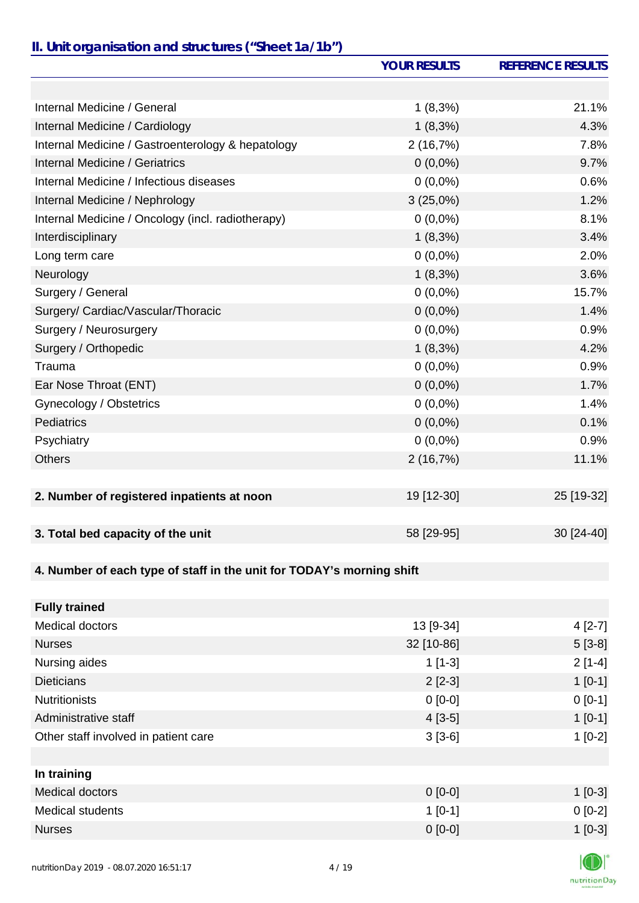### *II. Unit organisation and structures ("Sheet 1a/1b")*

|                                                                       | <b>YOUR RESULTS</b> | <b>REFERENCE RESULTS</b> |
|-----------------------------------------------------------------------|---------------------|--------------------------|
|                                                                       |                     |                          |
| Internal Medicine / General                                           | $1(8,3\%)$          | 21.1%                    |
| Internal Medicine / Cardiology                                        | $1(8,3\%)$          | 4.3%                     |
| Internal Medicine / Gastroenterology & hepatology                     | 2(16,7%)            | 7.8%                     |
| Internal Medicine / Geriatrics                                        | $0(0,0\%)$          | 9.7%                     |
| Internal Medicine / Infectious diseases                               | $0(0,0\%)$          | 0.6%                     |
| Internal Medicine / Nephrology                                        | 3(25,0%)            | 1.2%                     |
| Internal Medicine / Oncology (incl. radiotherapy)                     | $0(0,0\%)$          | 8.1%                     |
| Interdisciplinary                                                     | $1(8,3\%)$          | 3.4%                     |
| Long term care                                                        | $0(0,0\%)$          | 2.0%                     |
| Neurology                                                             | $1(8,3\%)$          | 3.6%                     |
| Surgery / General                                                     | $0(0,0\%)$          | 15.7%                    |
| Surgery/ Cardiac/Vascular/Thoracic                                    | $0(0,0\%)$          | 1.4%                     |
| Surgery / Neurosurgery                                                | $0(0,0\%)$          | 0.9%                     |
| Surgery / Orthopedic                                                  | $1(8,3\%)$          | 4.2%                     |
| Trauma                                                                | $0(0,0\%)$          | 0.9%                     |
| Ear Nose Throat (ENT)                                                 | $0(0,0\%)$          | 1.7%                     |
| Gynecology / Obstetrics                                               | $0(0,0\%)$          | 1.4%                     |
| <b>Pediatrics</b>                                                     | $0(0,0\%)$          | 0.1%                     |
| Psychiatry                                                            | $0(0,0\%)$          | 0.9%                     |
| <b>Others</b>                                                         | 2(16,7%)            | 11.1%                    |
|                                                                       |                     |                          |
| 2. Number of registered inpatients at noon                            | 19 [12-30]          | 25 [19-32]               |
| 3. Total bed capacity of the unit                                     | 58 [29-95]          | 30 [24-40]               |
|                                                                       |                     |                          |
| 4. Number of each type of staff in the unit for TODAY's morning shift |                     |                          |
| <b>Fully trained</b>                                                  |                     |                          |
| <b>Medical doctors</b>                                                | 13 [9-34]           | $4[2-7]$                 |
| <b>Nurses</b>                                                         | 32 [10-86]          | $5[3-8]$                 |
| Nursing aides                                                         | $1[1-3]$            | $2[1-4]$                 |
| <b>Dieticians</b>                                                     | $2[2-3]$            | $1[0-1]$                 |
| <b>Nutritionists</b>                                                  | $0[0-0]$            | $0[0-1]$                 |
| Administrative staff                                                  | $4[3-5]$            | $1[0-1]$                 |
| Other staff involved in patient care                                  | $3[3-6]$            | $1[0-2]$                 |

| In training      |           |           |
|------------------|-----------|-----------|
| Medical doctors  | $0$ [0-0] | $1[0-3]$  |
| Medical students | $1$ [0-1] | $0 [0-2]$ |
| <b>Nurses</b>    | $0 [0-0]$ | $1$ [0-3] |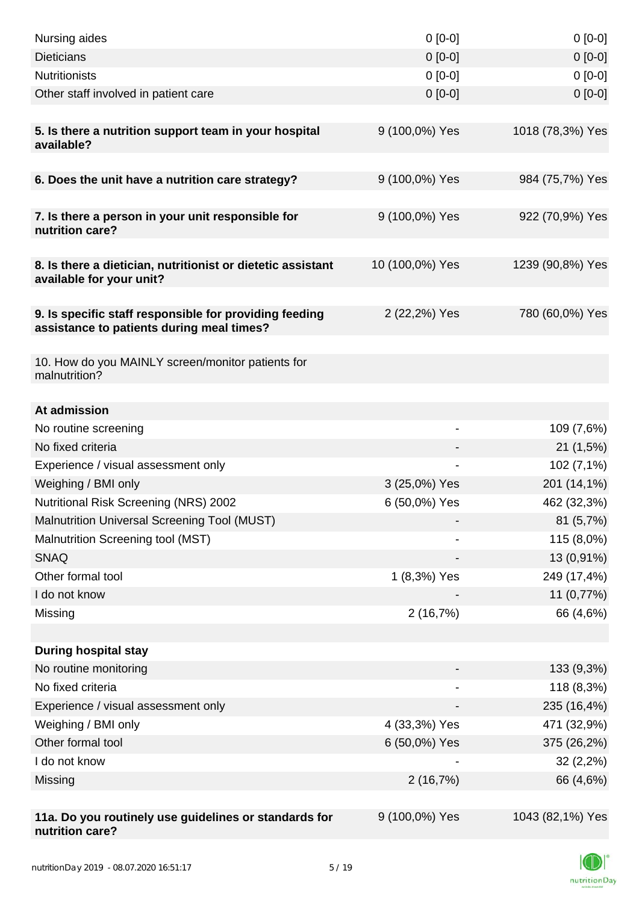| Nursing aides                                                                                       | $0 [0-0]$                | $0[0-0]$         |
|-----------------------------------------------------------------------------------------------------|--------------------------|------------------|
| <b>Dieticians</b>                                                                                   | $0 [0-0]$                | $0[0-0]$         |
| <b>Nutritionists</b>                                                                                | $0 [0-0]$                | $0[0-0]$         |
| Other staff involved in patient care                                                                | $0$ [0-0]                | $0[0-0]$         |
| 5. Is there a nutrition support team in your hospital<br>available?                                 | 9 (100,0%) Yes           | 1018 (78,3%) Yes |
| 6. Does the unit have a nutrition care strategy?                                                    | 9 (100,0%) Yes           | 984 (75,7%) Yes  |
|                                                                                                     |                          |                  |
| 7. Is there a person in your unit responsible for<br>nutrition care?                                | 9 (100,0%) Yes           | 922 (70,9%) Yes  |
| 8. Is there a dietician, nutritionist or dietetic assistant<br>available for your unit?             | 10 (100,0%) Yes          | 1239 (90,8%) Yes |
| 9. Is specific staff responsible for providing feeding<br>assistance to patients during meal times? | 2 (22,2%) Yes            | 780 (60,0%) Yes  |
| 10. How do you MAINLY screen/monitor patients for<br>malnutrition?                                  |                          |                  |
|                                                                                                     |                          |                  |
| At admission                                                                                        |                          |                  |
| No routine screening                                                                                | $\overline{\phantom{0}}$ | 109 (7,6%)       |
| No fixed criteria                                                                                   |                          | 21(1,5%)         |
| Experience / visual assessment only                                                                 |                          | 102 (7,1%)       |
| Weighing / BMI only                                                                                 | 3 (25,0%) Yes            | 201 (14,1%)      |
| Nutritional Risk Screening (NRS) 2002                                                               | 6 (50,0%) Yes            | 462 (32,3%)      |
| Malnutrition Universal Screening Tool (MUST)                                                        |                          | 81(5,7%)         |
| Malnutrition Screening tool (MST)                                                                   |                          | 115 (8,0%)       |
| <b>SNAQ</b>                                                                                         |                          | 13 (0,91%)       |
| Other formal tool                                                                                   | 1 (8,3%) Yes             | 249 (17,4%)      |
| I do not know                                                                                       |                          | 11 (0,77%)       |
| Missing                                                                                             | 2(16,7%)                 | 66 (4,6%)        |
|                                                                                                     |                          |                  |
| <b>During hospital stay</b><br>No routine monitoring                                                |                          |                  |
| No fixed criteria                                                                                   |                          | 133 (9,3%)       |
|                                                                                                     |                          | 118 (8,3%)       |
| Experience / visual assessment only                                                                 |                          | 235 (16,4%)      |
| Weighing / BMI only                                                                                 | 4 (33,3%) Yes            | 471 (32,9%)      |
| Other formal tool                                                                                   | 6 (50,0%) Yes            | 375 (26,2%)      |
| I do not know                                                                                       |                          | 32(2,2%)         |
| Missing                                                                                             | 2(16,7%)                 | 66 (4,6%)        |
| 11a. Do you routinely use guidelines or standards for<br>nutrition care?                            | 9 (100,0%) Yes           | 1043 (82,1%) Yes |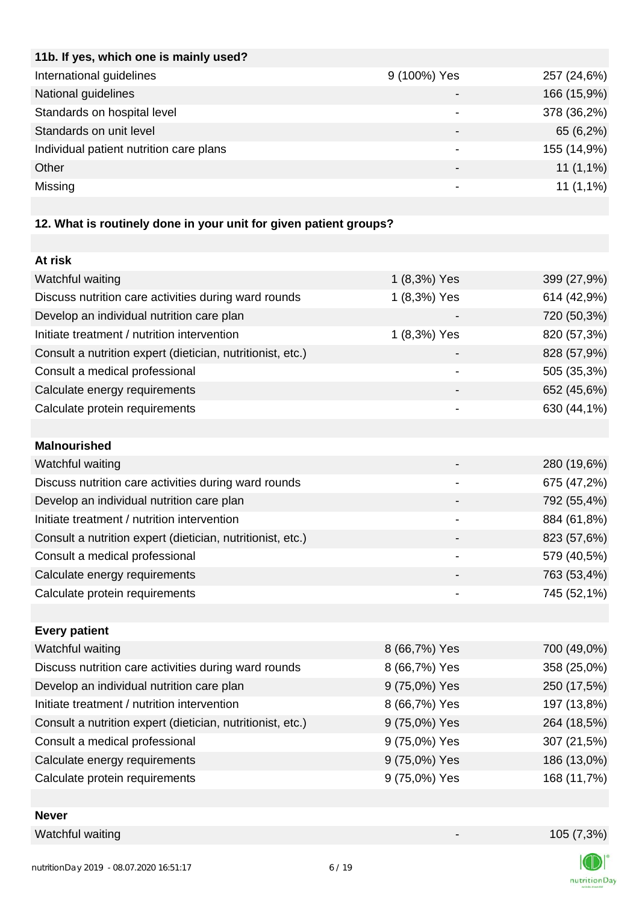| 11b. If yes, which one is mainly used?  |              |             |
|-----------------------------------------|--------------|-------------|
| International guidelines                | 9 (100%) Yes | 257 (24,6%) |
| National guidelines                     |              | 166 (15,9%) |
| Standards on hospital level             |              | 378 (36,2%) |
| Standards on unit level                 | -            | 65 (6,2%)   |
| Individual patient nutrition care plans |              | 155 (14,9%) |
| Other                                   | -            | $11(1,1\%)$ |
| Missing                                 |              | $11(1,1\%)$ |
|                                         |              |             |

# **12. What is routinely done in your unit for given patient groups?**

| At risk                                                    |                |             |
|------------------------------------------------------------|----------------|-------------|
| Watchful waiting                                           | 1 (8,3%) Yes   | 399 (27,9%) |
| Discuss nutrition care activities during ward rounds       | 1 (8,3%) Yes   | 614 (42,9%) |
| Develop an individual nutrition care plan                  |                | 720 (50,3%) |
| Initiate treatment / nutrition intervention                | 1 (8,3%) Yes   | 820 (57,3%) |
| Consult a nutrition expert (dietician, nutritionist, etc.) |                | 828 (57,9%) |
| Consult a medical professional                             |                | 505 (35,3%) |
| Calculate energy requirements                              |                | 652 (45,6%) |
| Calculate protein requirements                             |                | 630 (44,1%) |
|                                                            |                |             |
| <b>Malnourished</b>                                        |                |             |
| Watchful waiting                                           |                | 280 (19,6%) |
| Discuss nutrition care activities during ward rounds       |                | 675 (47,2%) |
| Develop an individual nutrition care plan                  | -              | 792 (55,4%) |
| Initiate treatment / nutrition intervention                | $\blacksquare$ | 884 (61,8%) |
| Consult a nutrition expert (dietician, nutritionist, etc.) |                | 823 (57,6%) |
| Consult a medical professional                             |                | 579 (40,5%) |
| Calculate energy requirements                              |                | 763 (53,4%) |
| Calculate protein requirements                             |                | 745 (52,1%) |
|                                                            |                |             |
| <b>Every patient</b>                                       |                |             |
| Watchful waiting                                           | 8 (66,7%) Yes  | 700 (49,0%) |
| Discuss nutrition care activities during ward rounds       | 8 (66,7%) Yes  | 358 (25,0%) |
| Develop an individual nutrition care plan                  | 9 (75,0%) Yes  | 250 (17,5%) |
| Initiate treatment / nutrition intervention                | 8 (66,7%) Yes  | 197 (13,8%) |
| Consult a nutrition expert (dietician, nutritionist, etc.) | 9 (75,0%) Yes  | 264 (18,5%) |
| Consult a medical professional                             | 9 (75,0%) Yes  | 307 (21,5%) |
| Calculate energy requirements                              | 9 (75,0%) Yes  | 186 (13,0%) |
| Calculate protein requirements                             | 9 (75,0%) Yes  | 168 (11,7%) |
|                                                            |                |             |

### **Never**

Watchful waiting 105 (7,3%)

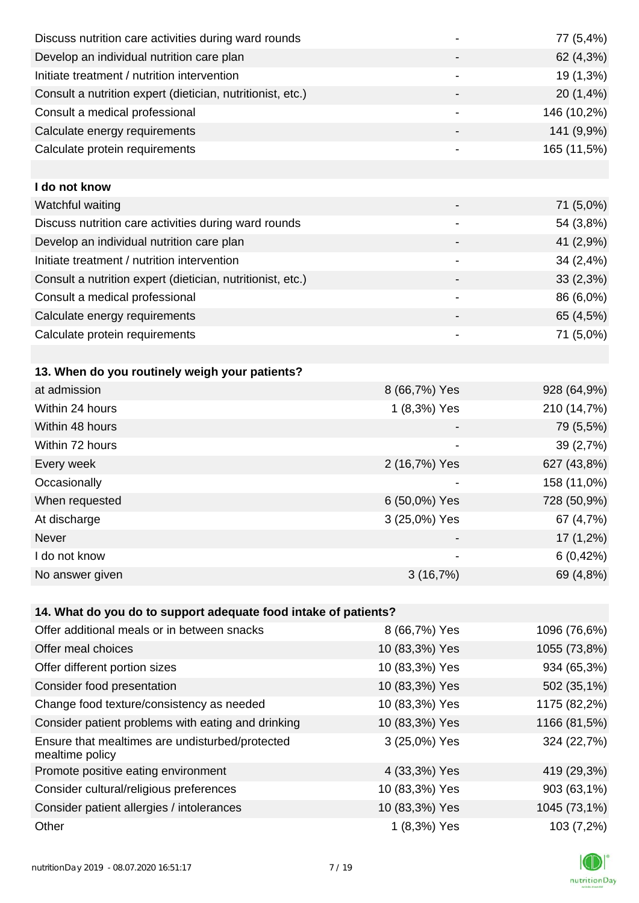| Discuss nutrition care activities during ward rounds               |                              | 77 (5,4%)    |
|--------------------------------------------------------------------|------------------------------|--------------|
| Develop an individual nutrition care plan                          |                              | 62 (4,3%)    |
| Initiate treatment / nutrition intervention                        |                              | 19 (1,3%)    |
| Consult a nutrition expert (dietician, nutritionist, etc.)         |                              | 20 (1,4%)    |
| Consult a medical professional                                     | $\overline{\phantom{a}}$     | 146 (10,2%)  |
| Calculate energy requirements                                      |                              | 141 (9,9%)   |
| Calculate protein requirements                                     | $\overline{\phantom{a}}$     | 165 (11,5%)  |
|                                                                    |                              |              |
| I do not know                                                      |                              |              |
| Watchful waiting                                                   |                              | 71 (5,0%)    |
| Discuss nutrition care activities during ward rounds               |                              | 54 (3,8%)    |
| Develop an individual nutrition care plan                          |                              | 41 (2,9%)    |
| Initiate treatment / nutrition intervention                        | $\qquad \qquad \blacksquare$ | 34 (2,4%)    |
| Consult a nutrition expert (dietician, nutritionist, etc.)         |                              | 33(2,3%)     |
| Consult a medical professional                                     | $\overline{\phantom{a}}$     | 86 (6,0%)    |
| Calculate energy requirements                                      |                              | 65 (4,5%)    |
| Calculate protein requirements                                     |                              | 71 (5,0%)    |
|                                                                    |                              |              |
| 13. When do you routinely weigh your patients?                     |                              |              |
| at admission                                                       | 8 (66,7%) Yes                | 928 (64,9%)  |
| Within 24 hours                                                    | 1 (8,3%) Yes                 | 210 (14,7%)  |
| Within 48 hours                                                    |                              | 79 (5,5%)    |
| Within 72 hours                                                    |                              | 39 (2,7%)    |
| Every week                                                         | 2 (16,7%) Yes                | 627 (43,8%)  |
| Occasionally                                                       |                              | 158 (11,0%)  |
| When requested                                                     | 6 (50,0%) Yes                | 728 (50,9%)  |
| At discharge                                                       | 3 (25,0%) Yes                | 67 (4,7%)    |
| Never                                                              |                              | $17(1,2\%)$  |
| I do not know                                                      |                              | 6(0,42%)     |
| No answer given                                                    | 3(16,7%)                     | 69 (4,8%)    |
|                                                                    |                              |              |
| 14. What do you do to support adequate food intake of patients?    |                              |              |
| Offer additional meals or in between snacks                        | 8 (66,7%) Yes                | 1096 (76,6%) |
| Offer meal choices                                                 | 10 (83,3%) Yes               | 1055 (73,8%) |
| Offer different portion sizes                                      | 10 (83,3%) Yes               | 934 (65,3%)  |
| Consider food presentation                                         | 10 (83,3%) Yes               | 502 (35,1%)  |
| Change food texture/consistency as needed                          | 10 (83,3%) Yes               | 1175 (82,2%) |
| Consider patient problems with eating and drinking                 | 10 (83,3%) Yes               | 1166 (81,5%) |
| Ensure that mealtimes are undisturbed/protected<br>mealtime policy | 3 (25,0%) Yes                | 324 (22,7%)  |
| Promote positive eating environment                                | 4 (33,3%) Yes                | 419 (29,3%)  |
| Consider cultural/religious preferences                            | 10 (83,3%) Yes               | 903 (63,1%)  |
| Consider patient allergies / intolerances                          | 10 (83,3%) Yes               | 1045 (73,1%) |
| Other                                                              | 1 (8,3%) Yes                 | 103 (7,2%)   |
|                                                                    |                              |              |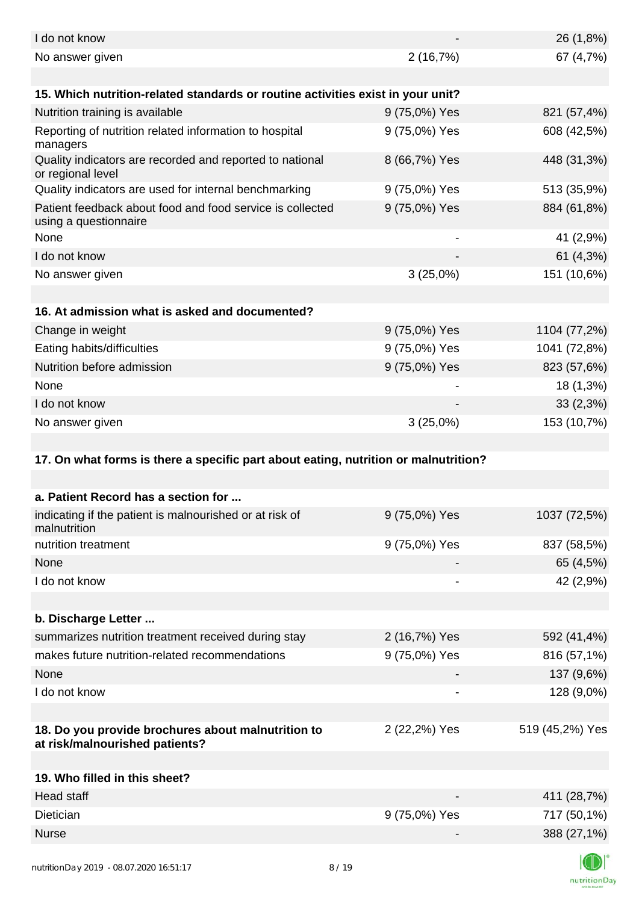| I do not know                                                                        |               | 26 (1,8%)       |
|--------------------------------------------------------------------------------------|---------------|-----------------|
| No answer given                                                                      | 2(16,7%)      | 67 (4,7%)       |
| 15. Which nutrition-related standards or routine activities exist in your unit?      |               |                 |
| Nutrition training is available                                                      | 9 (75,0%) Yes | 821 (57,4%)     |
| Reporting of nutrition related information to hospital<br>managers                   | 9 (75,0%) Yes | 608 (42,5%)     |
| Quality indicators are recorded and reported to national<br>or regional level        | 8 (66,7%) Yes | 448 (31,3%)     |
| Quality indicators are used for internal benchmarking                                | 9 (75,0%) Yes | 513 (35,9%)     |
| Patient feedback about food and food service is collected<br>using a questionnaire   | 9 (75,0%) Yes | 884 (61,8%)     |
| None                                                                                 |               | 41 (2,9%)       |
| I do not know                                                                        |               | 61 $(4,3\%)$    |
| No answer given                                                                      | 3(25,0%)      | 151 (10,6%)     |
|                                                                                      |               |                 |
| 16. At admission what is asked and documented?                                       |               |                 |
| Change in weight                                                                     | 9 (75,0%) Yes | 1104 (77,2%)    |
| Eating habits/difficulties                                                           | 9 (75,0%) Yes | 1041 (72,8%)    |
| Nutrition before admission                                                           | 9 (75,0%) Yes | 823 (57,6%)     |
| None                                                                                 |               | 18 (1,3%)       |
| I do not know                                                                        |               | 33(2,3%)        |
| No answer given                                                                      | 3(25,0%)      | 153 (10,7%)     |
|                                                                                      |               |                 |
| 17. On what forms is there a specific part about eating, nutrition or malnutrition?  |               |                 |
|                                                                                      |               |                 |
| a. Patient Record has a section for                                                  |               |                 |
| indicating if the patient is malnourished or at risk of<br>malnutrition              | 9 (75,0%) Yes | 1037 (72,5%)    |
| nutrition treatment                                                                  | 9 (75,0%) Yes | 837 (58,5%)     |
| None                                                                                 |               | 65 (4,5%)       |
| I do not know                                                                        |               | 42 (2,9%)       |
|                                                                                      |               |                 |
| b. Discharge Letter                                                                  |               |                 |
| summarizes nutrition treatment received during stay                                  | 2 (16,7%) Yes | 592 (41,4%)     |
| makes future nutrition-related recommendations                                       | 9 (75,0%) Yes | 816 (57,1%)     |
| None                                                                                 |               | 137 (9,6%)      |
| I do not know                                                                        |               | 128 (9,0%)      |
|                                                                                      |               |                 |
| 18. Do you provide brochures about malnutrition to<br>at risk/malnourished patients? | 2 (22,2%) Yes | 519 (45,2%) Yes |
|                                                                                      |               |                 |
| 19. Who filled in this sheet?                                                        |               |                 |
| <b>Head staff</b>                                                                    |               | 411 (28,7%)     |
| Dietician                                                                            | 9 (75,0%) Yes | 717 (50,1%)     |
| <b>Nurse</b>                                                                         |               | 388 (27,1%)     |
|                                                                                      |               |                 |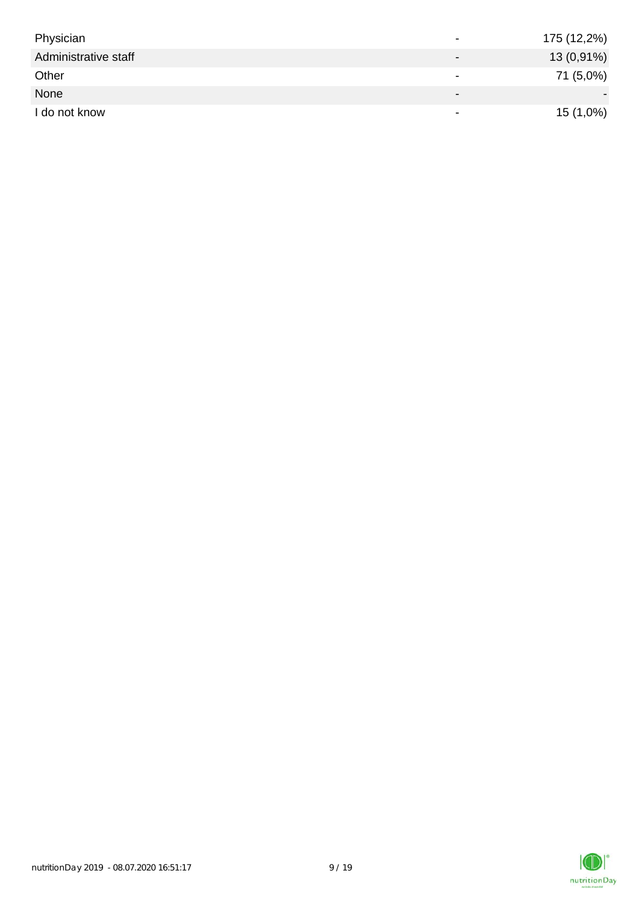| Physician            | $\,$                         | 175 (12,2%) |
|----------------------|------------------------------|-------------|
| Administrative staff | $\qquad \qquad \blacksquare$ | 13 (0,91%)  |
| Other                | $\,$                         | 71 (5,0%)   |
| None                 | $\overline{\phantom{0}}$     |             |
| I do not know        | $\,$                         | 15 (1,0%)   |

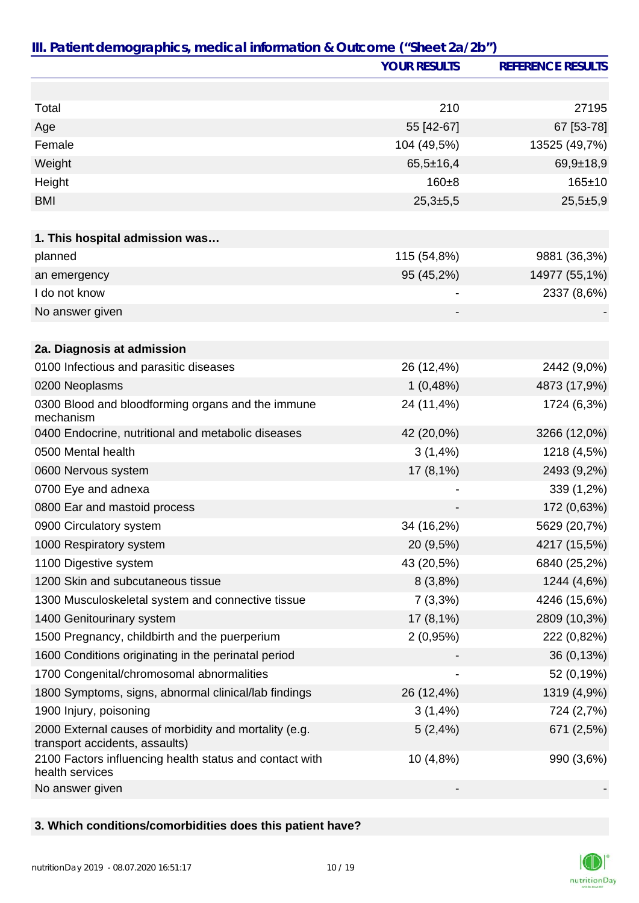|                                                                                         | <b>YOUR RESULTS</b> | <b>REFERENCE RESULTS</b> |
|-----------------------------------------------------------------------------------------|---------------------|--------------------------|
|                                                                                         |                     |                          |
| Total                                                                                   | 210                 | 27195                    |
| Age                                                                                     | 55 [42-67]          | 67 [53-78]               |
| Female                                                                                  | 104 (49,5%)         | 13525 (49,7%)            |
| Weight                                                                                  | $65,5 \pm 16,4$     | $69,9+18,9$              |
| Height                                                                                  | $160 + 8$           | $165 \pm 10$             |
| <b>BMI</b>                                                                              | $25,3+5,5$          | $25,5+5,9$               |
|                                                                                         |                     |                          |
| 1. This hospital admission was                                                          |                     |                          |
| planned                                                                                 | 115 (54,8%)         | 9881 (36,3%)             |
| an emergency                                                                            | 95 (45,2%)          | 14977 (55,1%)            |
| I do not know                                                                           |                     | 2337 (8,6%)              |
| No answer given                                                                         |                     |                          |
|                                                                                         |                     |                          |
| 2a. Diagnosis at admission                                                              |                     |                          |
| 0100 Infectious and parasitic diseases                                                  | 26 (12,4%)          | 2442 (9,0%)              |
| 0200 Neoplasms                                                                          | 1(0,48%)            | 4873 (17,9%)             |
| 0300 Blood and bloodforming organs and the immune<br>mechanism                          | 24 (11,4%)          | 1724 (6,3%)              |
| 0400 Endocrine, nutritional and metabolic diseases                                      | 42 (20,0%)          | 3266 (12,0%)             |
| 0500 Mental health                                                                      | 3(1,4%)             | 1218 (4,5%)              |
| 0600 Nervous system                                                                     | 17 (8,1%)           | 2493 (9,2%)              |
| 0700 Eye and adnexa                                                                     |                     | 339 (1,2%)               |
| 0800 Ear and mastoid process                                                            |                     | 172 (0,63%)              |
| 0900 Circulatory system                                                                 | 34 (16,2%)          | 5629 (20,7%)             |
| 1000 Respiratory system                                                                 | 20 (9,5%)           | 4217 (15,5%)             |
| 1100 Digestive system                                                                   | 43 (20,5%)          | 6840 (25,2%)             |
| 1200 Skin and subcutaneous tissue                                                       | 8(3,8%)             | 1244 (4,6%)              |
| 1300 Musculoskeletal system and connective tissue                                       | $7(3,3\%)$          | 4246 (15,6%)             |
| 1400 Genitourinary system                                                               | 17 (8,1%)           | 2809 (10,3%)             |
| 1500 Pregnancy, childbirth and the puerperium                                           | 2(0,95%)            | 222 (0,82%)              |
| 1600 Conditions originating in the perinatal period                                     |                     | 36 (0,13%)               |
| 1700 Congenital/chromosomal abnormalities                                               |                     | 52 (0,19%)               |
| 1800 Symptoms, signs, abnormal clinical/lab findings                                    | 26 (12,4%)          | 1319 (4,9%)              |
| 1900 Injury, poisoning                                                                  | 3(1,4%)             | 724 (2,7%)               |
| 2000 External causes of morbidity and mortality (e.g.<br>transport accidents, assaults) | 5(2,4%)             | 671 (2,5%)               |
| 2100 Factors influencing health status and contact with<br>health services              | 10 (4,8%)           | 990 (3,6%)               |
| No answer given                                                                         |                     |                          |

## **3. Which conditions/comorbidities does this patient have?**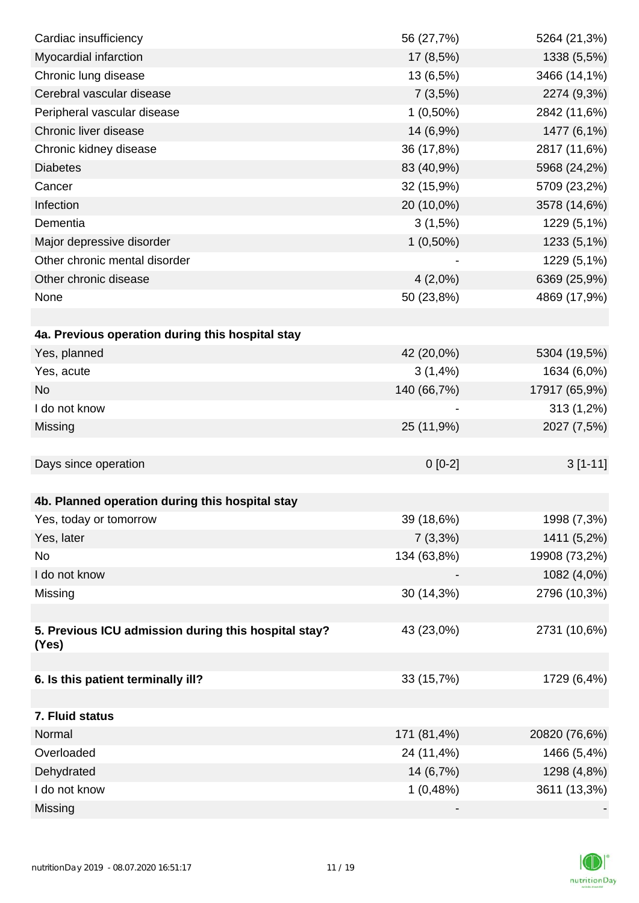| Cardiac insufficiency                                | 56 (27,7%)  | 5264 (21,3%)  |
|------------------------------------------------------|-------------|---------------|
| Myocardial infarction                                | 17 (8,5%)   | 1338 (5,5%)   |
| Chronic lung disease                                 | 13 (6,5%)   | 3466 (14,1%)  |
| Cerebral vascular disease                            | 7(3,5%)     | 2274 (9,3%)   |
| Peripheral vascular disease                          | $1(0,50\%)$ | 2842 (11,6%)  |
| Chronic liver disease                                | 14 (6,9%)   | 1477 (6,1%)   |
| Chronic kidney disease                               | 36 (17,8%)  | 2817 (11,6%)  |
| <b>Diabetes</b>                                      | 83 (40,9%)  | 5968 (24,2%)  |
| Cancer                                               | 32 (15,9%)  | 5709 (23,2%)  |
| Infection                                            | 20 (10,0%)  | 3578 (14,6%)  |
| Dementia                                             | 3(1,5%)     | 1229 (5,1%)   |
| Major depressive disorder                            | $1(0,50\%)$ | 1233 (5,1%)   |
| Other chronic mental disorder                        |             | 1229 (5,1%)   |
| Other chronic disease                                | $4(2,0\%)$  | 6369 (25,9%)  |
| None                                                 | 50 (23,8%)  | 4869 (17,9%)  |
|                                                      |             |               |
| 4a. Previous operation during this hospital stay     |             |               |
| Yes, planned                                         | 42 (20,0%)  | 5304 (19,5%)  |
| Yes, acute                                           | 3(1,4%)     | 1634 (6,0%)   |
| <b>No</b>                                            | 140 (66,7%) | 17917 (65,9%) |
| I do not know                                        |             | 313 (1,2%)    |
| Missing                                              | 25 (11,9%)  | 2027 (7,5%)   |
|                                                      |             |               |
| Days since operation                                 | $0 [0-2]$   | $3[1-11]$     |
|                                                      |             |               |
| 4b. Planned operation during this hospital stay      |             |               |
| Yes, today or tomorrow                               | 39 (18,6%)  | 1998 (7,3%)   |
| Yes, later                                           | 7(3,3%)     | 1411 (5,2%)   |
| No                                                   | 134 (63,8%) | 19908 (73,2%) |
| I do not know                                        |             | 1082 (4,0%)   |
| Missing                                              | 30 (14,3%)  | 2796 (10,3%)  |
|                                                      |             |               |
| 5. Previous ICU admission during this hospital stay? | 43 (23,0%)  | 2731 (10,6%)  |
| (Yes)                                                |             |               |
| 6. Is this patient terminally ill?                   | 33 (15,7%)  | 1729 (6,4%)   |
|                                                      |             |               |
| 7. Fluid status                                      |             |               |
| Normal                                               | 171 (81,4%) | 20820 (76,6%) |
| Overloaded                                           | 24 (11,4%)  | 1466 (5,4%)   |
| Dehydrated                                           | 14 (6,7%)   | 1298 (4,8%)   |
| I do not know                                        | 1(0,48%)    | 3611 (13,3%)  |
| Missing                                              |             |               |
|                                                      |             |               |

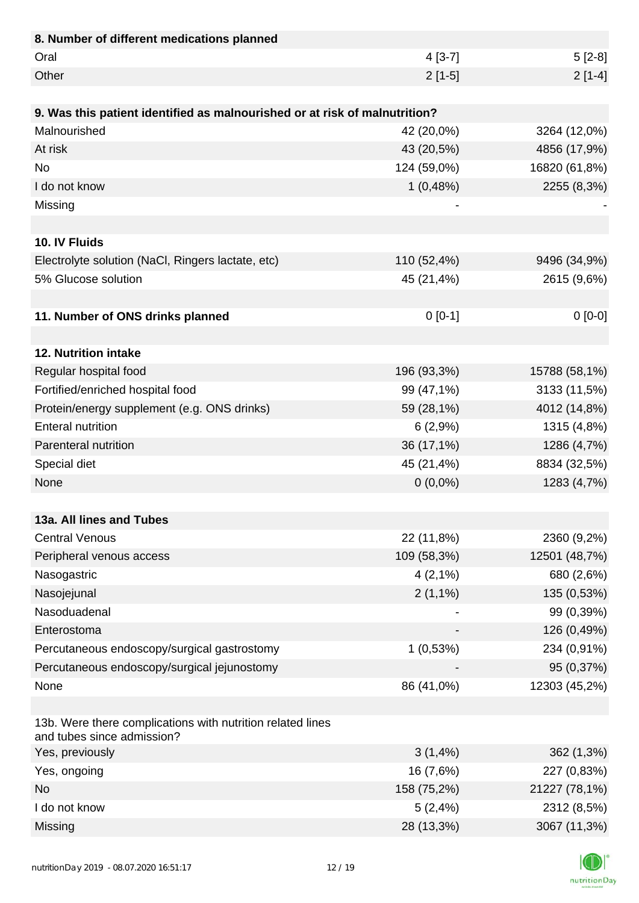| 8. Number of different medications planned                                               |             |               |
|------------------------------------------------------------------------------------------|-------------|---------------|
| Oral                                                                                     | $4[3-7]$    | $5[2-8]$      |
| Other                                                                                    | $2[1-5]$    | $2[1-4]$      |
|                                                                                          |             |               |
| 9. Was this patient identified as malnourished or at risk of malnutrition?               |             |               |
| Malnourished                                                                             | 42 (20,0%)  | 3264 (12,0%)  |
| At risk                                                                                  | 43 (20,5%)  | 4856 (17,9%)  |
| <b>No</b>                                                                                | 124 (59,0%) | 16820 (61,8%) |
| I do not know                                                                            | 1(0,48%)    | 2255 (8,3%)   |
| Missing                                                                                  |             |               |
|                                                                                          |             |               |
| 10. IV Fluids                                                                            |             |               |
| Electrolyte solution (NaCl, Ringers lactate, etc)                                        | 110 (52,4%) | 9496 (34,9%)  |
| 5% Glucose solution                                                                      | 45 (21,4%)  | 2615 (9,6%)   |
|                                                                                          |             |               |
| 11. Number of ONS drinks planned                                                         | $0[0-1]$    | $0[0-0]$      |
|                                                                                          |             |               |
| 12. Nutrition intake                                                                     |             |               |
| Regular hospital food                                                                    | 196 (93,3%) | 15788 (58,1%) |
| Fortified/enriched hospital food                                                         | 99 (47,1%)  | 3133 (11,5%)  |
| Protein/energy supplement (e.g. ONS drinks)                                              | 59 (28,1%)  | 4012 (14,8%)  |
| <b>Enteral nutrition</b>                                                                 | 6(2,9%)     | 1315 (4,8%)   |
| Parenteral nutrition                                                                     | 36 (17,1%)  | 1286 (4,7%)   |
| Special diet                                                                             | 45 (21,4%)  | 8834 (32,5%)  |
| None                                                                                     | $0(0,0\%)$  | 1283 (4,7%)   |
|                                                                                          |             |               |
| 13a. All lines and Tubes                                                                 |             |               |
| <b>Central Venous</b>                                                                    | 22 (11,8%)  | 2360 (9,2%)   |
| Peripheral venous access                                                                 | 109 (58,3%) | 12501 (48,7%) |
| Nasogastric                                                                              | $4(2,1\%)$  | 680 (2,6%)    |
| Nasojejunal                                                                              | $2(1,1\%)$  | 135 (0,53%)   |
| Nasoduadenal                                                                             |             | 99 (0,39%)    |
| Enterostoma                                                                              |             | 126 (0,49%)   |
| Percutaneous endoscopy/surgical gastrostomy                                              | 1(0,53%)    | 234 (0,91%)   |
| Percutaneous endoscopy/surgical jejunostomy                                              |             | 95 (0,37%)    |
| None                                                                                     | 86 (41,0%)  | 12303 (45,2%) |
|                                                                                          |             |               |
| 13b. Were there complications with nutrition related lines<br>and tubes since admission? |             |               |
| Yes, previously                                                                          | 3(1,4%)     | 362 (1,3%)    |
| Yes, ongoing                                                                             | 16 (7,6%)   | 227 (0,83%)   |
| <b>No</b>                                                                                | 158 (75,2%) | 21227 (78,1%) |
| I do not know                                                                            | 5(2,4%)     | 2312 (8,5%)   |
| Missing                                                                                  | 28 (13,3%)  | 3067 (11,3%)  |

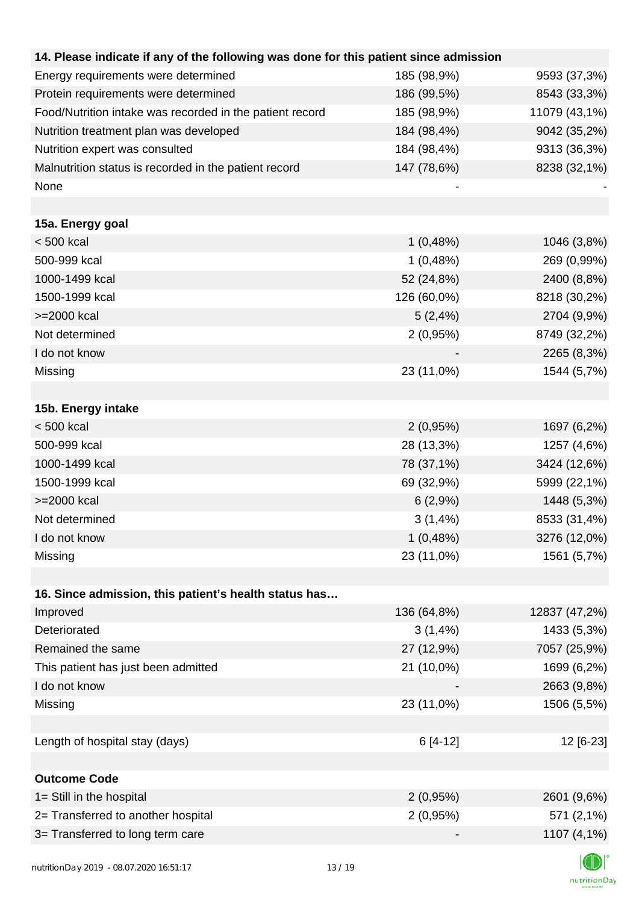| 14. Please indicate if any of the following was done for this patient since admission |             |               |
|---------------------------------------------------------------------------------------|-------------|---------------|
| Energy requirements were determined                                                   | 185 (98,9%) | 9593 (37,3%)  |
| Protein requirements were determined                                                  | 186 (99,5%) | 8543 (33,3%)  |
| Food/Nutrition intake was recorded in the patient record                              | 185 (98,9%) | 11079 (43,1%) |
| Nutrition treatment plan was developed                                                | 184 (98,4%) | 9042 (35,2%)  |
| Nutrition expert was consulted                                                        | 184 (98,4%) | 9313 (36,3%)  |
| Malnutrition status is recorded in the patient record                                 | 147 (78,6%) | 8238 (32,1%)  |
| None                                                                                  |             |               |
|                                                                                       |             |               |
| 15a. Energy goal                                                                      |             |               |
| $< 500$ kcal                                                                          | 1(0,48%)    | 1046 (3,8%)   |
| 500-999 kcal                                                                          | 1(0,48%)    | 269 (0,99%)   |
| 1000-1499 kcal                                                                        | 52 (24,8%)  | 2400 (8,8%)   |
| 1500-1999 kcal                                                                        | 126 (60,0%) | 8218 (30,2%)  |
| >=2000 kcal                                                                           | 5(2,4%)     | 2704 (9,9%)   |
| Not determined                                                                        | 2(0,95%)    | 8749 (32,2%)  |
| I do not know                                                                         |             | 2265 (8,3%)   |
| Missing                                                                               | 23 (11,0%)  | 1544 (5,7%)   |
|                                                                                       |             |               |
| 15b. Energy intake                                                                    |             |               |
| $< 500$ kcal                                                                          | 2(0,95%)    | 1697 (6,2%)   |
| 500-999 kcal                                                                          | 28 (13,3%)  | 1257 (4,6%)   |
| 1000-1499 kcal                                                                        | 78 (37,1%)  | 3424 (12,6%)  |
| 1500-1999 kcal                                                                        | 69 (32,9%)  | 5999 (22,1%)  |
| >=2000 kcal                                                                           | 6(2,9%)     | 1448 (5,3%)   |
| Not determined                                                                        | 3(1,4%)     | 8533 (31,4%)  |
| I do not know                                                                         | 1(0,48%)    | 3276 (12,0%)  |
| Missing                                                                               | 23 (11,0%)  | 1561 (5,7%)   |
|                                                                                       |             |               |
| 16. Since admission, this patient's health status has                                 |             |               |
| Improved                                                                              | 136 (64,8%) | 12837 (47,2%) |
| Deteriorated                                                                          | 3(1,4%)     | 1433 (5,3%)   |
| Remained the same                                                                     | 27 (12,9%)  | 7057 (25,9%)  |
| This patient has just been admitted                                                   | 21 (10,0%)  | 1699 (6,2%)   |
| I do not know                                                                         |             | 2663 (9,8%)   |
| Missing                                                                               | 23 (11,0%)  | 1506 (5,5%)   |
|                                                                                       |             |               |
| Length of hospital stay (days)                                                        | 6 [4-12]    | 12 [6-23]     |
|                                                                                       |             |               |
| <b>Outcome Code</b>                                                                   |             |               |
| 1= Still in the hospital                                                              | 2(0,95%)    | 2601 (9,6%)   |
| 2= Transferred to another hospital                                                    | 2(0,95%)    | 571 (2,1%)    |
| 3= Transferred to long term care                                                      |             | 1107 (4,1%)   |
|                                                                                       |             |               |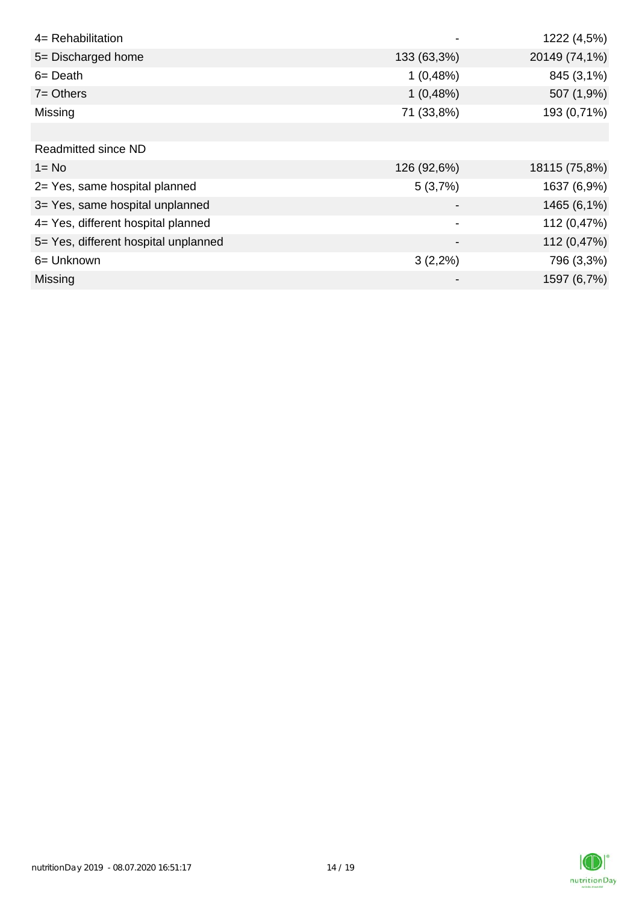| 4= Rehabilitation                    |             | 1222 (4,5%)   |
|--------------------------------------|-------------|---------------|
| 5= Discharged home                   | 133 (63,3%) | 20149 (74,1%) |
| $6 = \text{Death}$                   | 1(0,48%)    | 845 (3,1%)    |
| $7 =$ Others                         | 1(0,48%)    | 507 (1,9%)    |
| Missing                              | 71 (33,8%)  | 193 (0,71%)   |
|                                      |             |               |
| <b>Readmitted since ND</b>           |             |               |
| $1 = No$                             | 126 (92,6%) | 18115 (75,8%) |
| 2= Yes, same hospital planned        | 5(3,7%)     | 1637 (6,9%)   |
| 3= Yes, same hospital unplanned      |             | 1465 (6,1%)   |
| 4= Yes, different hospital planned   |             | 112 (0,47%)   |
| 5= Yes, different hospital unplanned |             | 112 (0,47%)   |
| 6= Unknown                           | $3(2,2\%)$  | 796 (3,3%)    |
| <b>Missing</b>                       |             | 1597 (6,7%)   |

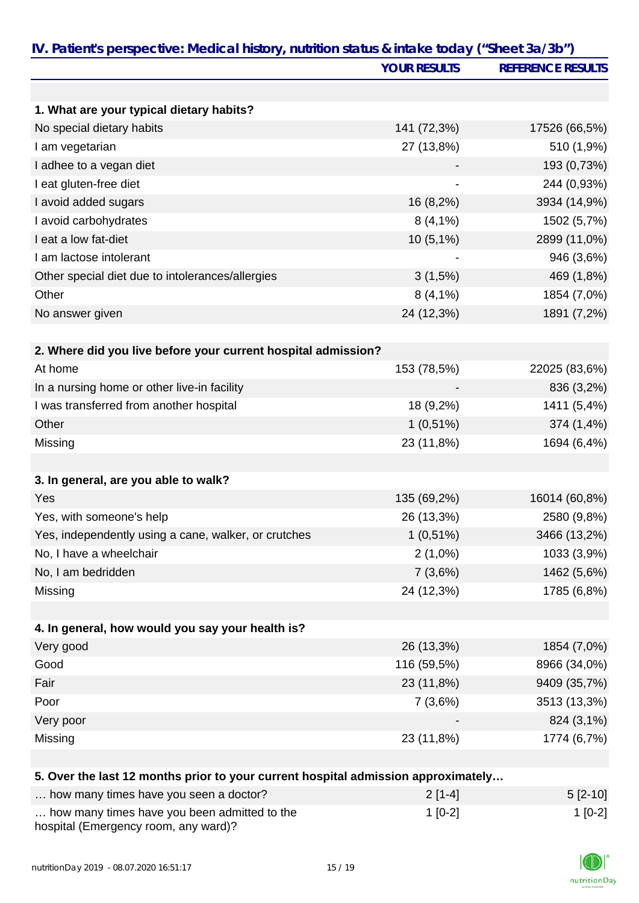| IV. Patient's perspective: Medical history, nutrition status & intake today ("Sheet 3a/3b") | <b>YOUR RESULTS</b> | <b>REFERENCE RESULTS</b> |
|---------------------------------------------------------------------------------------------|---------------------|--------------------------|
|                                                                                             |                     |                          |
| 1. What are your typical dietary habits?                                                    |                     |                          |
| No special dietary habits                                                                   | 141 (72,3%)         | 17526 (66,5%)            |
| I am vegetarian                                                                             | 27 (13,8%)          | 510 (1,9%)               |
| I adhee to a vegan diet                                                                     |                     | 193 (0,73%)              |
| I eat gluten-free diet                                                                      |                     | 244 (0,93%)              |
| I avoid added sugars                                                                        | 16 (8,2%)           | 3934 (14,9%)             |
| I avoid carbohydrates                                                                       | $8(4,1\%)$          | 1502 (5,7%)              |
| I eat a low fat-diet                                                                        | $10(5,1\%)$         | 2899 (11,0%)             |
| I am lactose intolerant                                                                     |                     | 946 (3,6%)               |
| Other special diet due to intolerances/allergies                                            | 3(1,5%)             | 469 (1,8%)               |
| Other                                                                                       | $8(4,1\%)$          | 1854 (7,0%)              |
| No answer given                                                                             | 24 (12,3%)          | 1891 (7,2%)              |
|                                                                                             |                     |                          |
| 2. Where did you live before your current hospital admission?                               |                     |                          |
| At home                                                                                     | 153 (78,5%)         | 22025 (83,6%)            |
| In a nursing home or other live-in facility                                                 |                     | 836 (3,2%)               |
| I was transferred from another hospital                                                     | 18 (9,2%)           | 1411 (5,4%)              |
| Other                                                                                       | $1(0,51\%)$         | 374 (1,4%)               |
| Missing                                                                                     | 23 (11,8%)          | 1694 (6,4%)              |
| 3. In general, are you able to walk?                                                        |                     |                          |
| Yes                                                                                         | 135 (69,2%)         | 16014 (60,8%)            |
| Yes, with someone's help                                                                    | 26 (13,3%)          | 2580 (9,8%)              |
| Yes, independently using a cane, walker, or crutches                                        | $1(0,51\%)$         | 3466 (13,2%)             |
| No, I have a wheelchair                                                                     | $2(1,0\%)$          | 1033 (3,9%)              |
| No, I am bedridden                                                                          | 7(3,6%)             | 1462 (5,6%)              |
| Missing                                                                                     | 24 (12,3%)          | 1785 (6,8%)              |
|                                                                                             |                     |                          |
| 4. In general, how would you say your health is?                                            |                     |                          |
| Very good                                                                                   | 26 (13,3%)          | 1854 (7,0%)              |
| Good                                                                                        | 116 (59,5%)         | 8966 (34,0%)             |
| Fair                                                                                        | 23 (11,8%)          | 9409 (35,7%)             |
| Poor                                                                                        | 7(3,6%)             | 3513 (13,3%)             |
| Very poor                                                                                   |                     | 824 (3,1%)               |
| Missing                                                                                     | 23 (11,8%)          | 1774 (6,7%)              |
|                                                                                             |                     |                          |
| 5. Over the last 12 months prior to your current hospital admission approximately           |                     |                          |

| how many times have you seen a doctor?                                               | $2[1-4]$  | $5 [2-10]$ |
|--------------------------------------------------------------------------------------|-----------|------------|
| how many times have you been admitted to the<br>hospital (Emergency room, any ward)? | $1$ [0-2] | $1$ [0-2]  |

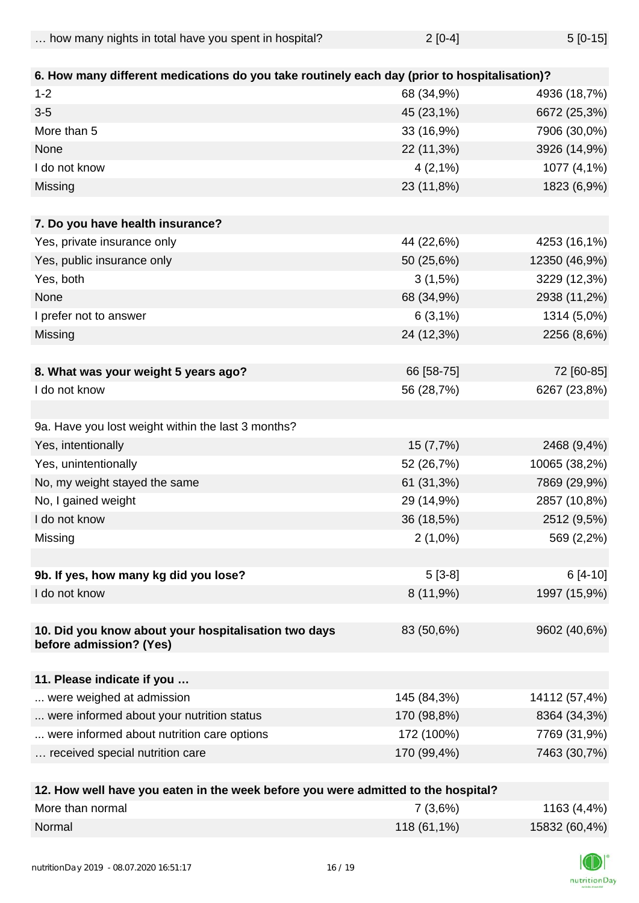| how many nights in total have you spent in hospital? | $2[0-4]$ | $5[0-15]$ |
|------------------------------------------------------|----------|-----------|
|------------------------------------------------------|----------|-----------|

| 6. How many different medications do you take routinely each day (prior to hospitalisation)? |             |               |
|----------------------------------------------------------------------------------------------|-------------|---------------|
| $1 - 2$                                                                                      | 68 (34,9%)  | 4936 (18,7%)  |
| $3-5$                                                                                        | 45 (23,1%)  | 6672 (25,3%)  |
| More than 5                                                                                  | 33 (16,9%)  | 7906 (30,0%)  |
| None                                                                                         | 22 (11,3%)  | 3926 (14,9%)  |
| I do not know                                                                                | $4(2,1\%)$  | 1077 (4,1%)   |
| Missing                                                                                      | 23 (11,8%)  | 1823 (6,9%)   |
|                                                                                              |             |               |
| 7. Do you have health insurance?                                                             |             |               |
| Yes, private insurance only                                                                  | 44 (22,6%)  | 4253 (16,1%)  |
| Yes, public insurance only                                                                   | 50 (25,6%)  | 12350 (46,9%) |
| Yes, both                                                                                    | $3(1,5\%)$  | 3229 (12,3%)  |
| None                                                                                         | 68 (34,9%)  | 2938 (11,2%)  |
| I prefer not to answer                                                                       | $6(3,1\%)$  | 1314 (5,0%)   |
| Missing                                                                                      | 24 (12,3%)  | 2256 (8,6%)   |
|                                                                                              |             |               |
| 8. What was your weight 5 years ago?                                                         | 66 [58-75]  | 72 [60-85]    |
| I do not know                                                                                | 56 (28,7%)  | 6267 (23,8%)  |
|                                                                                              |             |               |
| 9a. Have you lost weight within the last 3 months?                                           |             |               |
| Yes, intentionally                                                                           | 15 (7,7%)   | 2468 (9,4%)   |
| Yes, unintentionally                                                                         | 52 (26,7%)  | 10065 (38,2%) |
| No, my weight stayed the same                                                                | 61 (31,3%)  | 7869 (29,9%)  |
| No, I gained weight                                                                          | 29 (14,9%)  | 2857 (10,8%)  |
| I do not know                                                                                | 36 (18,5%)  | 2512 (9,5%)   |
| Missing                                                                                      | $2(1,0\%)$  | 569 (2,2%)    |
|                                                                                              |             |               |
| 9b. If yes, how many kg did you lose?                                                        | $5[3-8]$    | $6[4-10]$     |
| I do not know                                                                                | 8(11,9%)    | 1997 (15,9%)  |
|                                                                                              |             |               |
| 10. Did you know about your hospitalisation two days                                         | 83 (50,6%)  | 9602 (40,6%)  |
| before admission? (Yes)                                                                      |             |               |
|                                                                                              |             |               |
| 11. Please indicate if you                                                                   |             |               |
| were weighed at admission                                                                    | 145 (84,3%) | 14112 (57,4%) |
| were informed about your nutrition status                                                    | 170 (98,8%) | 8364 (34,3%)  |
| were informed about nutrition care options                                                   | 172 (100%)  | 7769 (31,9%)  |
| received special nutrition care                                                              | 170 (99,4%) | 7463 (30,7%)  |
| 12. How well have you eaten in the week before you were admitted to the hospital?            |             |               |

| <u>IZ. HOW WEILHAVE YOU CALCH III LIIC WEEN DEIDIG YOU WEI'T AUIHILICU LO LIIC HOSDILAI :</u> |               |               |
|-----------------------------------------------------------------------------------------------|---------------|---------------|
| More than normal                                                                              | 7(3,6%)       | 1163 (4,4%)   |
| Normal                                                                                        | $118(61,1\%)$ | 15832 (60,4%) |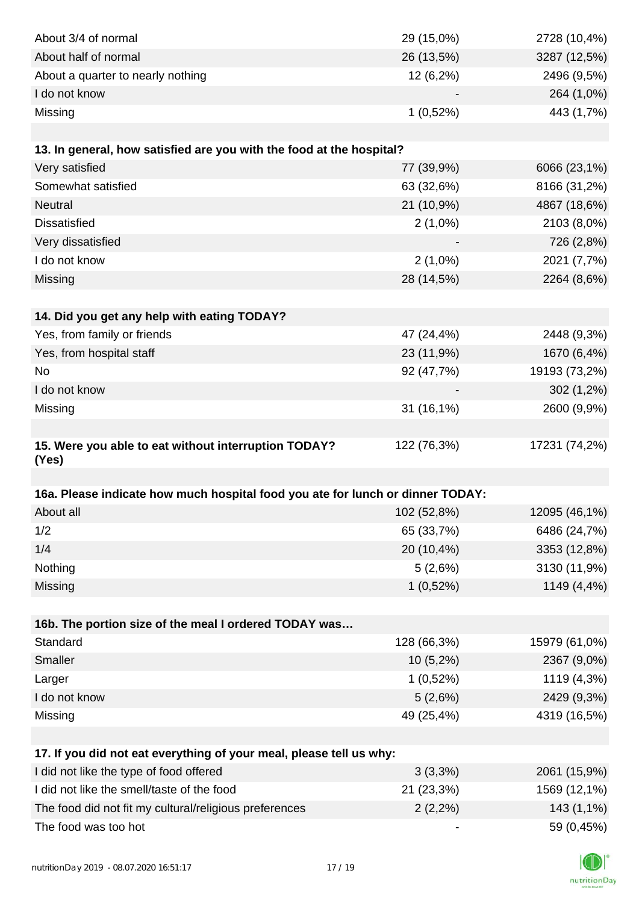| About 3/4 of normal                                                                                            | 29 (15,0%)  | 2728 (10,4%)  |
|----------------------------------------------------------------------------------------------------------------|-------------|---------------|
| About half of normal                                                                                           | 26 (13,5%)  | 3287 (12,5%)  |
| About a quarter to nearly nothing                                                                              | 12 (6,2%)   | 2496 (9,5%)   |
| I do not know                                                                                                  |             | 264 (1,0%)    |
| Missing                                                                                                        | $1(0,52\%)$ | 443 (1,7%)    |
|                                                                                                                |             |               |
| 13. In general, how satisfied are you with the food at the hospital?                                           |             |               |
| Very satisfied                                                                                                 | 77 (39,9%)  | 6066 (23,1%)  |
| Somewhat satisfied                                                                                             | 63 (32,6%)  | 8166 (31,2%)  |
| <b>Neutral</b>                                                                                                 | 21 (10,9%)  | 4867 (18,6%)  |
| <b>Dissatisfied</b>                                                                                            | $2(1,0\%)$  | 2103 (8,0%)   |
| Very dissatisfied                                                                                              |             | 726 (2,8%)    |
| I do not know                                                                                                  | $2(1,0\%)$  | 2021 (7,7%)   |
| Missing                                                                                                        | 28 (14,5%)  | 2264 (8,6%)   |
|                                                                                                                |             |               |
| 14. Did you get any help with eating TODAY?                                                                    |             |               |
| Yes, from family or friends                                                                                    | 47 (24,4%)  | 2448 (9,3%)   |
| Yes, from hospital staff                                                                                       | 23 (11,9%)  | 1670 (6,4%)   |
| No                                                                                                             | 92 (47,7%)  | 19193 (73,2%) |
| I do not know                                                                                                  |             | $302(1,2\%)$  |
| Missing                                                                                                        | 31 (16,1%)  | 2600 (9,9%)   |
|                                                                                                                |             |               |
| 15. Were you able to eat without interruption TODAY?                                                           | 122 (76,3%) | 17231 (74,2%) |
| (Yes)                                                                                                          |             |               |
|                                                                                                                |             |               |
| 16a. Please indicate how much hospital food you ate for lunch or dinner TODAY:                                 |             |               |
| About all                                                                                                      | 102 (52,8%) | 12095 (46,1%) |
| 1/2                                                                                                            | 65 (33,7%)  | 6486 (24,7%)  |
| 1/4                                                                                                            | 20 (10,4%)  | 3353 (12,8%)  |
| Nothing                                                                                                        | 5(2,6%)     | 3130 (11,9%)  |
| Missing                                                                                                        | $1(0,52\%)$ | 1149 (4,4%)   |
|                                                                                                                |             |               |
| 16b. The portion size of the meal I ordered TODAY was<br>Standard                                              |             |               |
| Smaller                                                                                                        | 128 (66,3%) | 15979 (61,0%) |
|                                                                                                                | 10 (5,2%)   | 2367 (9,0%)   |
| Larger<br>I do not know                                                                                        | $1(0,52\%)$ | 1119 (4,3%)   |
|                                                                                                                | 5(2,6%)     | 2429 (9,3%)   |
| Missing                                                                                                        | 49 (25,4%)  | 4319 (16,5%)  |
|                                                                                                                |             |               |
| 17. If you did not eat everything of your meal, please tell us why:<br>I did not like the type of food offered | 3(3,3%)     | 2061 (15,9%)  |
| I did not like the smell/taste of the food                                                                     | 21 (23,3%)  | 1569 (12,1%)  |
| The food did not fit my cultural/religious preferences                                                         | $2(2,2\%)$  | 143 (1,1%)    |
| The food was too hot                                                                                           |             | 59 (0,45%)    |
|                                                                                                                |             |               |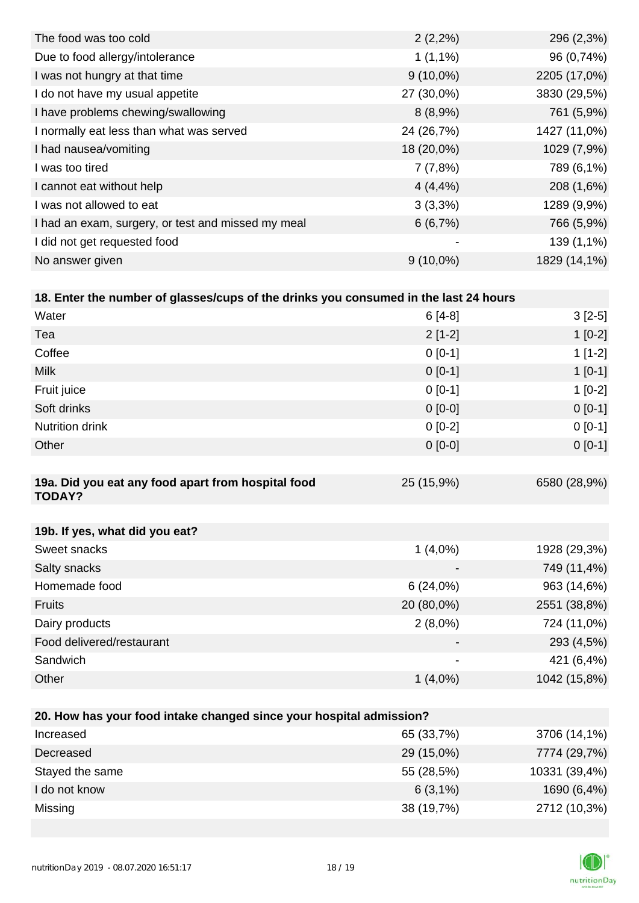| The food was too cold                              | $2(2,2\%)$               | 296 (2,3%)   |
|----------------------------------------------------|--------------------------|--------------|
| Due to food allergy/intolerance                    | $1(1,1\%)$               | 96 (0,74%)   |
| I was not hungry at that time                      | $9(10,0\%)$              | 2205 (17,0%) |
| I do not have my usual appetite                    | 27 (30,0%)               | 3830 (29,5%) |
| I have problems chewing/swallowing                 | $8(8,9\%)$               | 761 (5,9%)   |
| I normally eat less than what was served           | 24 (26,7%)               | 1427 (11,0%) |
| I had nausea/vomiting                              | 18 (20,0%)               | 1029 (7,9%)  |
| I was too tired                                    | 7(7,8%)                  | 789 (6,1%)   |
| I cannot eat without help                          | $4(4, 4\%)$              | 208 (1,6%)   |
| I was not allowed to eat                           | $3(3,3\%)$               | 1289 (9,9%)  |
| I had an exam, surgery, or test and missed my meal | 6(6,7%)                  | 766 (5,9%)   |
| I did not get requested food                       | $\overline{\phantom{a}}$ | 139 (1,1%)   |
| No answer given                                    | $9(10,0\%)$              | 1829 (14,1%) |

| 18. Enter the number of glasses/cups of the drinks you consumed in the last 24 hours |                          |              |
|--------------------------------------------------------------------------------------|--------------------------|--------------|
| Water                                                                                | $6[4-8]$                 | $3[2-5]$     |
| Tea                                                                                  | $2[1-2]$                 | $1[0-2]$     |
| Coffee                                                                               | $0 [0-1]$                | $1[1-2]$     |
| <b>Milk</b>                                                                          | $0 [0-1]$                | $1 [0-1]$    |
| Fruit juice                                                                          | $0 [0-1]$                | $1[0-2]$     |
| Soft drinks                                                                          | $0 [0-0]$                | $0[0-1]$     |
| Nutrition drink                                                                      | $0[0-2]$                 | $0[0-1]$     |
| Other                                                                                | $0[0-0]$                 | $0[0-1]$     |
|                                                                                      |                          |              |
| 19a. Did you eat any food apart from hospital food<br><b>TODAY?</b>                  | 25 (15,9%)               | 6580 (28,9%) |
|                                                                                      |                          |              |
| 19b. If yes, what did you eat?                                                       |                          |              |
| Sweet snacks                                                                         | $1(4,0\%)$               | 1928 (29,3%) |
| Salty snacks                                                                         |                          | 749 (11,4%)  |
| Homemade food                                                                        | 6(24,0%)                 | 963 (14,6%)  |
| <b>Fruits</b>                                                                        | 20 (80,0%)               | 2551 (38,8%) |
| Dairy products                                                                       | $2(8,0\%)$               | 724 (11,0%)  |
| Food delivered/restaurant                                                            | $\blacksquare$           | 293 (4,5%)   |
| Sandwich                                                                             | $\overline{\phantom{a}}$ | 421 (6,4%)   |
| Other                                                                                | $1(4,0\%)$               | 1042 (15,8%) |

| 20. How has your food intake changed since your hospital admission? |            |               |  |
|---------------------------------------------------------------------|------------|---------------|--|
| Increased                                                           | 65 (33,7%) | 3706 (14,1%)  |  |
| Decreased                                                           | 29 (15,0%) | 7774 (29,7%)  |  |
| Stayed the same                                                     | 55 (28,5%) | 10331 (39,4%) |  |
| I do not know                                                       | $6(3,1\%)$ | 1690 (6,4%)   |  |
| Missing                                                             | 38 (19,7%) | 2712 (10,3%)  |  |